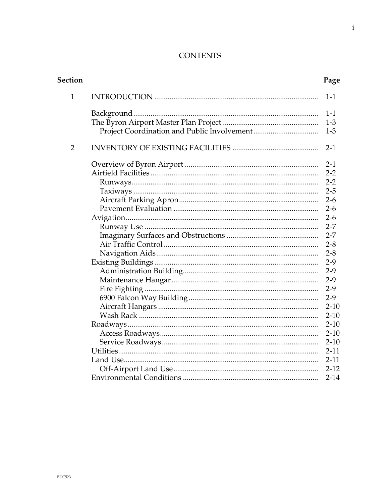## **CONTENTS**

| <b>Section</b> | Page               |
|----------------|--------------------|
| 1              | $1 - 1$            |
|                | $1 - 1$<br>$1 - 3$ |
|                | $1 - 3$            |
| $\overline{2}$ | $2 - 1$            |
|                | $2-1$              |
|                | $2 - 2$            |
|                | $2 - 2$            |
|                | $2 - 5$            |
|                | $2 - 6$            |
|                | $2 - 6$            |
|                | $2 - 6$            |
|                | $2 - 7$            |
|                | $2 - 7$            |
|                | $2 - 8$            |
|                | $2 - 8$            |
|                | $2-9$              |
|                | $2-9$              |
|                | $2-9$              |
|                | $2-9$              |
|                | $2-9$              |
|                | $2 - 10$           |
|                | $2 - 10$           |
|                | $2 - 10$           |
|                | $2 - 10$           |
|                | $2 - 10$           |
|                | $2 - 11$           |
|                | $2 - 11$           |
|                | $2 - 12$           |
|                | $2 - 14$           |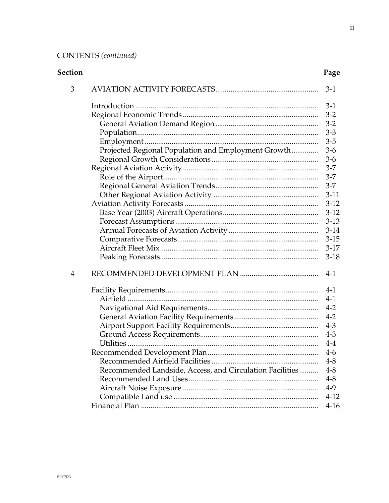## **CONTENTS** (continued)

| <b>Section</b> |                                                          | Page     |
|----------------|----------------------------------------------------------|----------|
| 3              |                                                          | $3-1$    |
|                |                                                          | $3-1$    |
|                |                                                          | $3-2$    |
|                |                                                          | $3 - 2$  |
|                |                                                          | $3 - 3$  |
|                |                                                          | $3 - 5$  |
|                | Projected Regional Population and Employment Growth      | $3-6$    |
|                |                                                          | $3-6$    |
|                |                                                          | $3 - 7$  |
|                |                                                          | $3 - 7$  |
|                |                                                          | $3 - 7$  |
|                |                                                          | $3-11$   |
|                |                                                          | $3-12$   |
|                |                                                          | $3-12$   |
|                |                                                          | $3-13$   |
|                |                                                          | $3-14$   |
|                |                                                          | $3-15$   |
|                |                                                          | $3-17$   |
|                |                                                          | $3 - 18$ |
| $\overline{4}$ |                                                          | $4-1$    |
|                |                                                          | $4-1$    |
|                |                                                          | $4-1$    |
|                |                                                          | $4-2$    |
|                |                                                          | $4-2$    |
|                |                                                          | $4 - 3$  |
|                |                                                          | $4 - 3$  |
|                |                                                          | $4-4$    |
|                |                                                          | $4-6$    |
|                |                                                          | $4 - 8$  |
|                | Recommended Landside, Access, and Circulation Facilities | $4 - 8$  |
|                |                                                          | $4 - 8$  |
|                |                                                          | $4-9$    |
|                |                                                          | $4 - 12$ |
|                |                                                          | $4 - 16$ |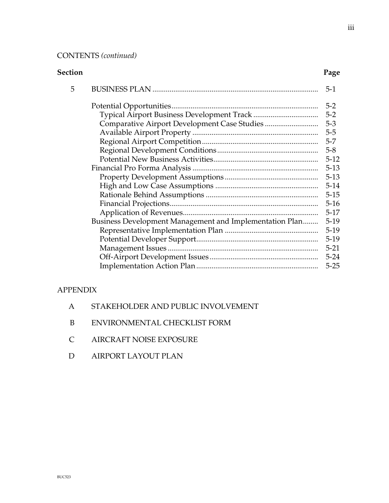### CONTENTS *(continued)*

| Section |                                                         | Page     |
|---------|---------------------------------------------------------|----------|
| 5       |                                                         | $5-1$    |
|         |                                                         | $5 - 2$  |
|         |                                                         | $5 - 2$  |
|         |                                                         | $5 - 3$  |
|         |                                                         | $5-5$    |
|         |                                                         | $5-7$    |
|         |                                                         | $5 - 8$  |
|         |                                                         | $5-12$   |
|         |                                                         | $5 - 13$ |
|         |                                                         | $5 - 13$ |
|         |                                                         | $5 - 14$ |
|         |                                                         | $5 - 15$ |
|         |                                                         | $5-16$   |
|         |                                                         | $5-17$   |
|         | Business Development Management and Implementation Plan | $5-19$   |
|         |                                                         | $5-19$   |
|         |                                                         | $5-19$   |
|         |                                                         | $5 - 21$ |
|         |                                                         | $5 - 24$ |
|         |                                                         | $5 - 25$ |
|         |                                                         |          |

#### APPENDIX

- A STAKEHOLDER AND PUBLIC INVOLVEMENT
- B ENVIRONMENTAL CHECKLIST FORM
- C AIRCRAFT NOISE EXPOSURE
- D AIRPORT LAYOUT PLAN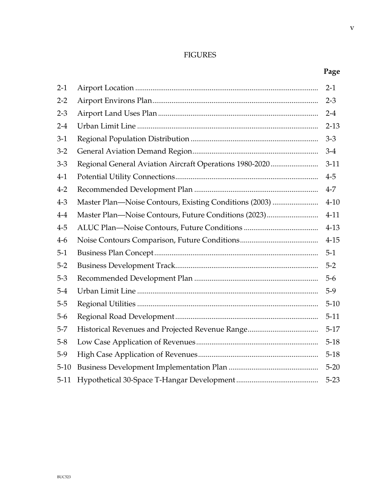# FIGURES

# **Page**

| $2-1$    |                                                         | $2 - 1$  |
|----------|---------------------------------------------------------|----------|
| $2 - 2$  |                                                         | $2 - 3$  |
| $2 - 3$  |                                                         | $2 - 4$  |
| $2 - 4$  |                                                         | $2 - 13$ |
| $3-1$    |                                                         | $3 - 3$  |
| $3-2$    |                                                         | $3-4$    |
| $3 - 3$  | Regional General Aviation Aircraft Operations 1980-2020 | $3-11$   |
| $4-1$    |                                                         | $4-5$    |
| $4 - 2$  |                                                         | $4 - 7$  |
| $4 - 3$  | Master Plan—Noise Contours, Existing Conditions (2003)  | $4 - 10$ |
| $4-4$    | Master Plan—Noise Contours, Future Conditions (2023)    | $4 - 11$ |
| $4 - 5$  |                                                         | $4 - 13$ |
| $4-6$    |                                                         | $4 - 15$ |
| $5-1$    |                                                         | $5-1$    |
| $5 - 2$  |                                                         | $5 - 2$  |
| $5 - 3$  |                                                         | $5-6$    |
| $5-4$    |                                                         | $5-9$    |
| $5 - 5$  |                                                         | $5 - 10$ |
| $5-6$    |                                                         | $5 - 11$ |
| $5 - 7$  |                                                         | $5-17$   |
| $5 - 8$  |                                                         | $5 - 18$ |
| $5-9$    |                                                         | $5 - 18$ |
| $5 - 10$ |                                                         | $5 - 20$ |
| $5-11$   |                                                         | $5 - 23$ |